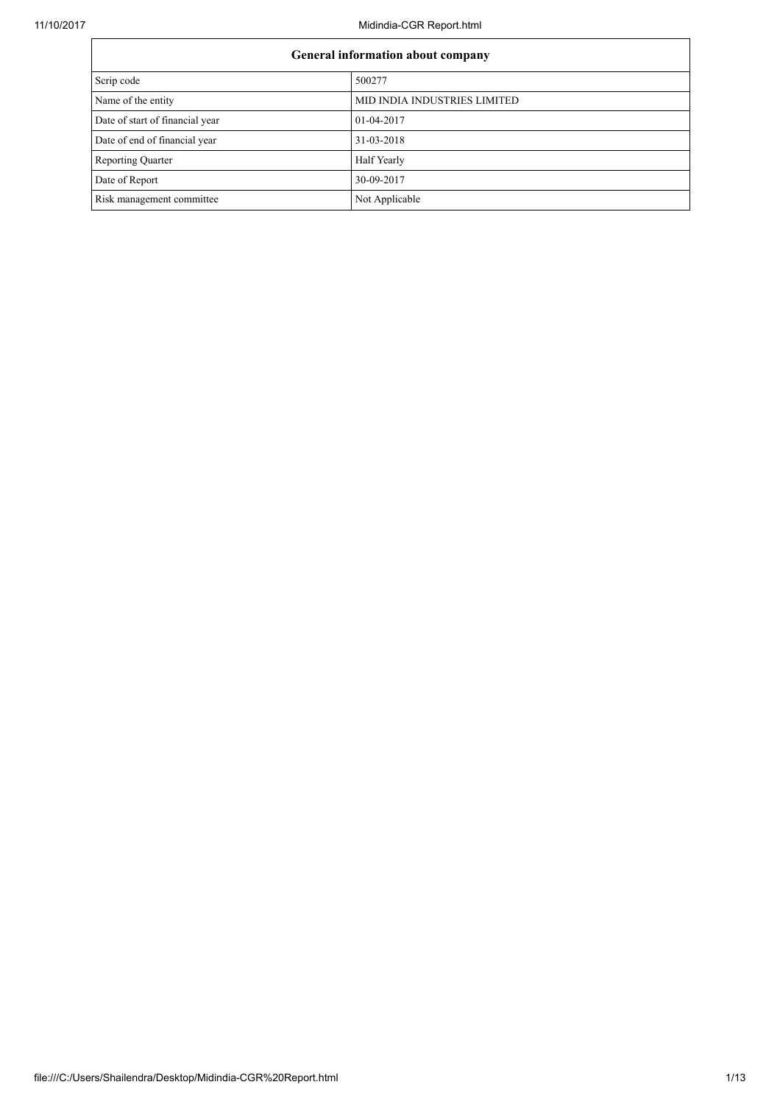| General information about company |                              |  |
|-----------------------------------|------------------------------|--|
| Scrip code<br>500277              |                              |  |
| Name of the entity                | MID INDIA INDUSTRIES LIMITED |  |
| Date of start of financial year   | 01-04-2017                   |  |
| Date of end of financial year     | 31-03-2018                   |  |
| <b>Reporting Quarter</b>          | Half Yearly                  |  |
| Date of Report                    | 30-09-2017                   |  |
| Risk management committee         | Not Applicable               |  |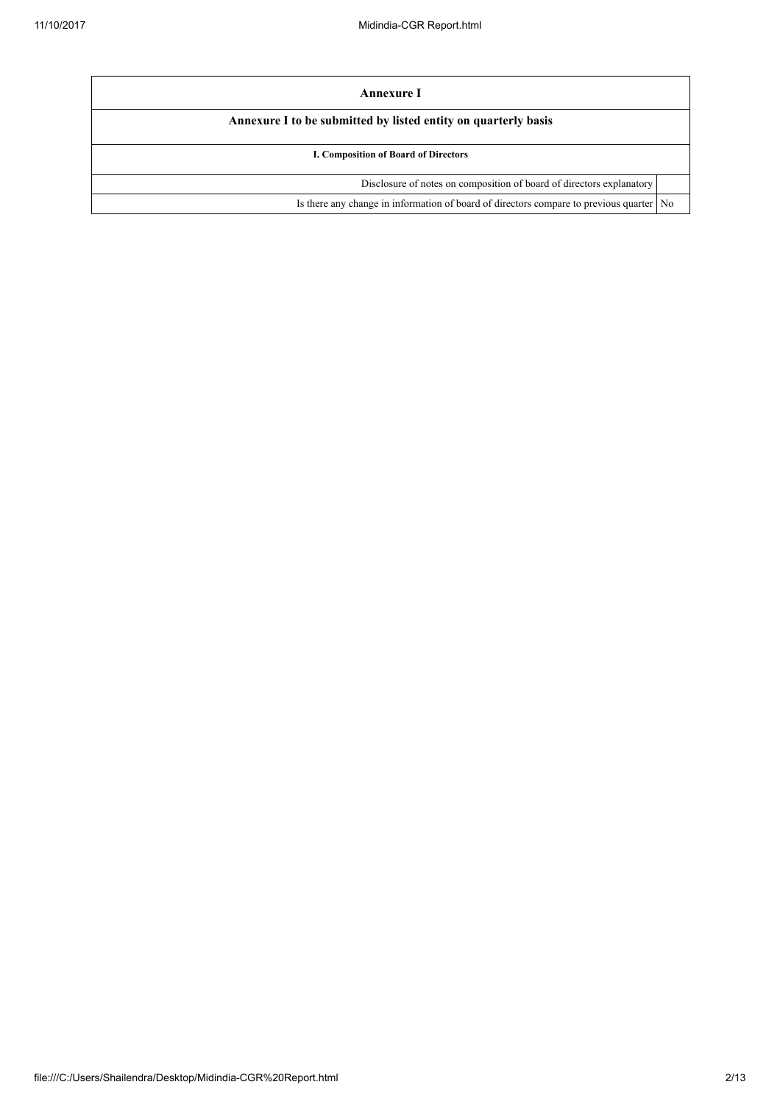| Annexure I                                                                                |  |  |
|-------------------------------------------------------------------------------------------|--|--|
| Annexure I to be submitted by listed entity on quarterly basis                            |  |  |
| I. Composition of Board of Directors                                                      |  |  |
| Disclosure of notes on composition of board of directors explanatory                      |  |  |
| Is there any change in information of board of directors compare to previous quarter   No |  |  |
|                                                                                           |  |  |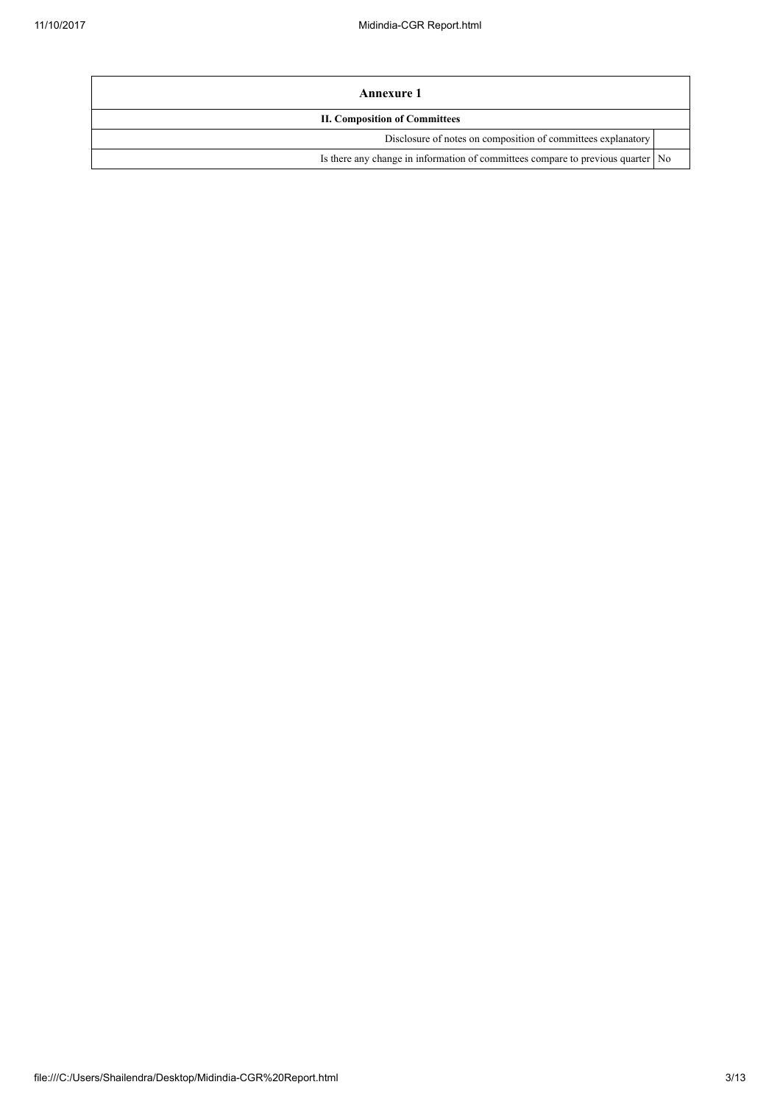| Annexure 1                                                                        |  |
|-----------------------------------------------------------------------------------|--|
| <b>II. Composition of Committees</b>                                              |  |
| Disclosure of notes on composition of committees explanatory                      |  |
| Is there any change in information of committees compare to previous quarter   No |  |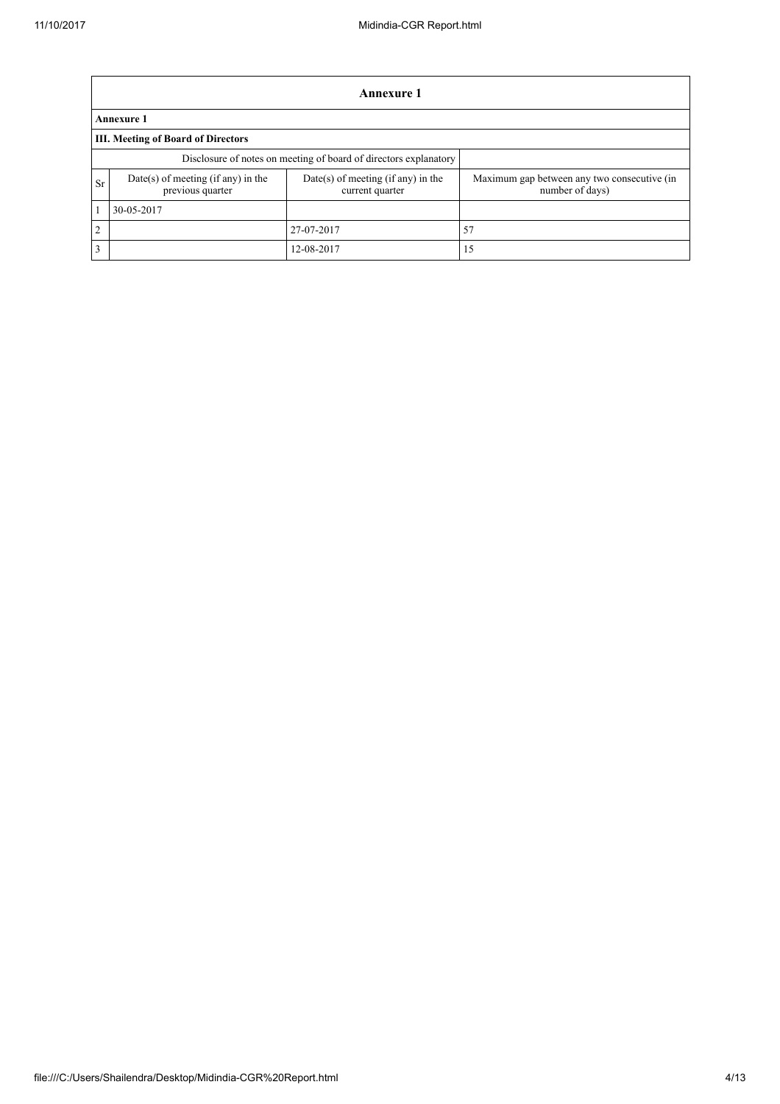|                | Annexure 1                                                       |                                                       |                                                                |  |  |  |
|----------------|------------------------------------------------------------------|-------------------------------------------------------|----------------------------------------------------------------|--|--|--|
|                | <b>Annexure 1</b>                                                |                                                       |                                                                |  |  |  |
|                | <b>III. Meeting of Board of Directors</b>                        |                                                       |                                                                |  |  |  |
|                | Disclosure of notes on meeting of board of directors explanatory |                                                       |                                                                |  |  |  |
| <b>Sr</b>      | Date(s) of meeting (if any) in the<br>previous quarter           | Date(s) of meeting (if any) in the<br>current quarter | Maximum gap between any two consecutive (in<br>number of days) |  |  |  |
|                | 30-05-2017                                                       |                                                       |                                                                |  |  |  |
| $\overline{2}$ |                                                                  | 27-07-2017                                            | 57                                                             |  |  |  |
| 3              |                                                                  | 12-08-2017                                            | 15                                                             |  |  |  |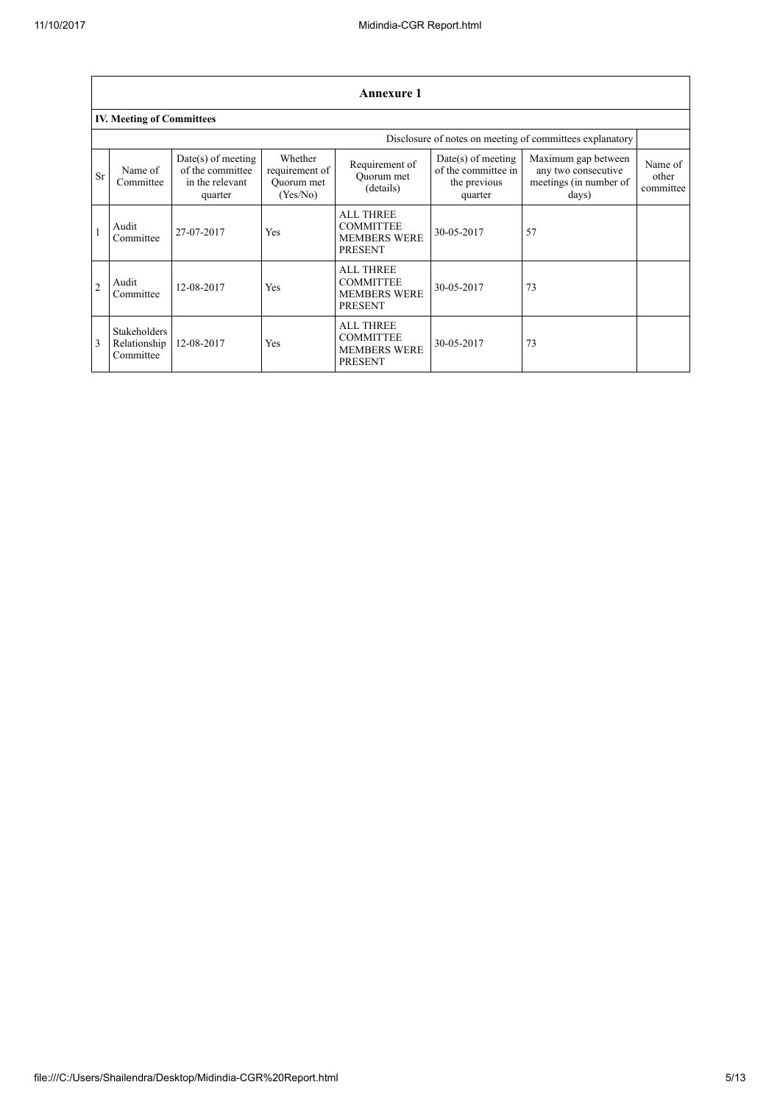|                | <b>Annexure 1</b>                                |                                                                        |                                                     |                                                                               |                                                                        |                                                                               |                               |
|----------------|--------------------------------------------------|------------------------------------------------------------------------|-----------------------------------------------------|-------------------------------------------------------------------------------|------------------------------------------------------------------------|-------------------------------------------------------------------------------|-------------------------------|
|                | <b>IV. Meeting of Committees</b>                 |                                                                        |                                                     |                                                                               |                                                                        |                                                                               |                               |
|                |                                                  |                                                                        |                                                     |                                                                               |                                                                        | Disclosure of notes on meeting of committees explanatory                      |                               |
| <b>Sr</b>      | Name of<br>Committee                             | $Date(s)$ of meeting<br>of the committee<br>in the relevant<br>quarter | Whether<br>requirement of<br>Ouorum met<br>(Yes/No) | Requirement of<br>Ouorum met<br>(details)                                     | $Date(s)$ of meeting<br>of the committee in<br>the previous<br>quarter | Maximum gap between<br>any two consecutive<br>meetings (in number of<br>days) | Name of<br>other<br>committee |
|                | Audit<br>Committee                               | 27-07-2017                                                             | <b>Yes</b>                                          | <b>ALL THREE</b><br><b>COMMITTEE</b><br><b>MEMBERS WERE</b><br><b>PRESENT</b> | 30-05-2017                                                             | 57                                                                            |                               |
| $\overline{2}$ | Audit<br>Committee                               | 12-08-2017                                                             | Yes                                                 | <b>ALL THREE</b><br><b>COMMITTEE</b><br><b>MEMBERS WERE</b><br><b>PRESENT</b> | 30-05-2017                                                             | 73                                                                            |                               |
| 3              | <b>Stakeholders</b><br>Relationship<br>Committee | 12-08-2017                                                             | Yes                                                 | <b>ALL THREE</b><br><b>COMMITTEE</b><br><b>MEMBERS WERE</b><br><b>PRESENT</b> | 30-05-2017                                                             | 73                                                                            |                               |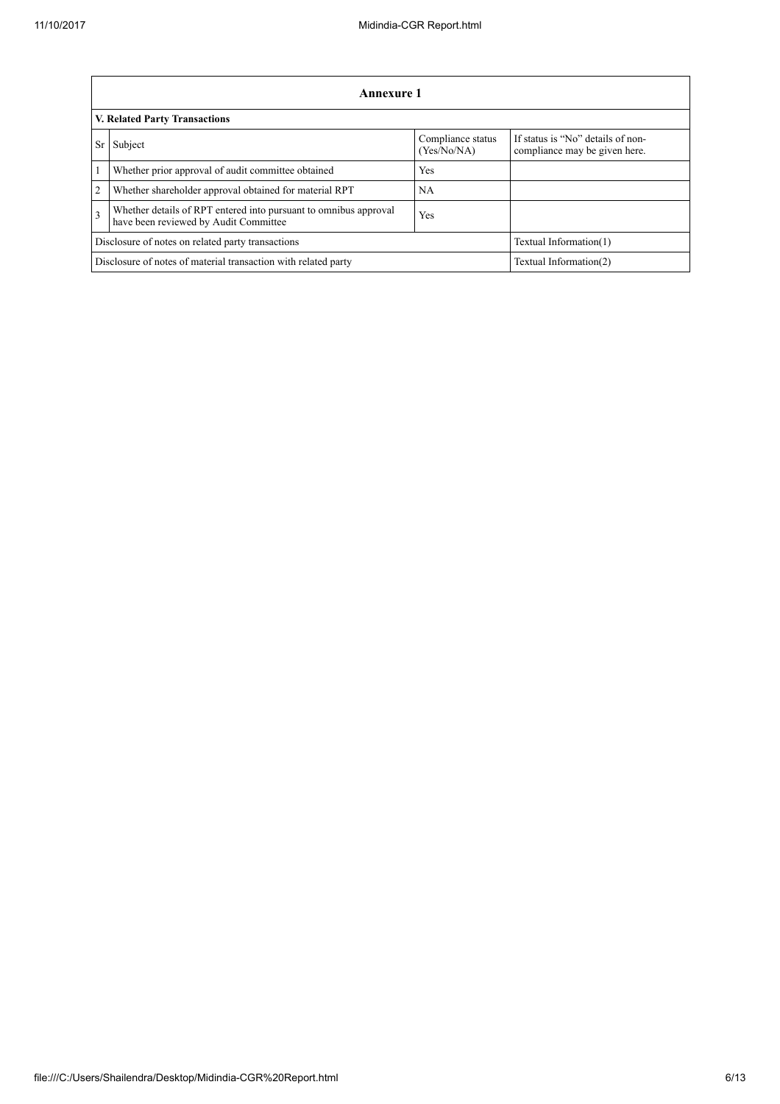|                                                                                                                             | Annexure 1                                                                               |                                  |                                                                    |  |  |  |
|-----------------------------------------------------------------------------------------------------------------------------|------------------------------------------------------------------------------------------|----------------------------------|--------------------------------------------------------------------|--|--|--|
|                                                                                                                             | <b>V. Related Party Transactions</b>                                                     |                                  |                                                                    |  |  |  |
| <b>Sr</b>                                                                                                                   | Subject                                                                                  | Compliance status<br>(Yes/No/NA) | If status is "No" details of non-<br>compliance may be given here. |  |  |  |
| $\vert$ 1                                                                                                                   | Whether prior approval of audit committee obtained                                       | Yes                              |                                                                    |  |  |  |
| 2                                                                                                                           | Whether shareholder approval obtained for material RPT                                   | NA                               |                                                                    |  |  |  |
| Whether details of RPT entered into pursuant to omnibus approval<br>$\overline{3}$<br>have been reviewed by Audit Committee |                                                                                          | Yes                              |                                                                    |  |  |  |
|                                                                                                                             | Disclosure of notes on related party transactions                                        | Textual Information(1)           |                                                                    |  |  |  |
|                                                                                                                             | Disclosure of notes of material transaction with related party<br>Textual Information(2) |                                  |                                                                    |  |  |  |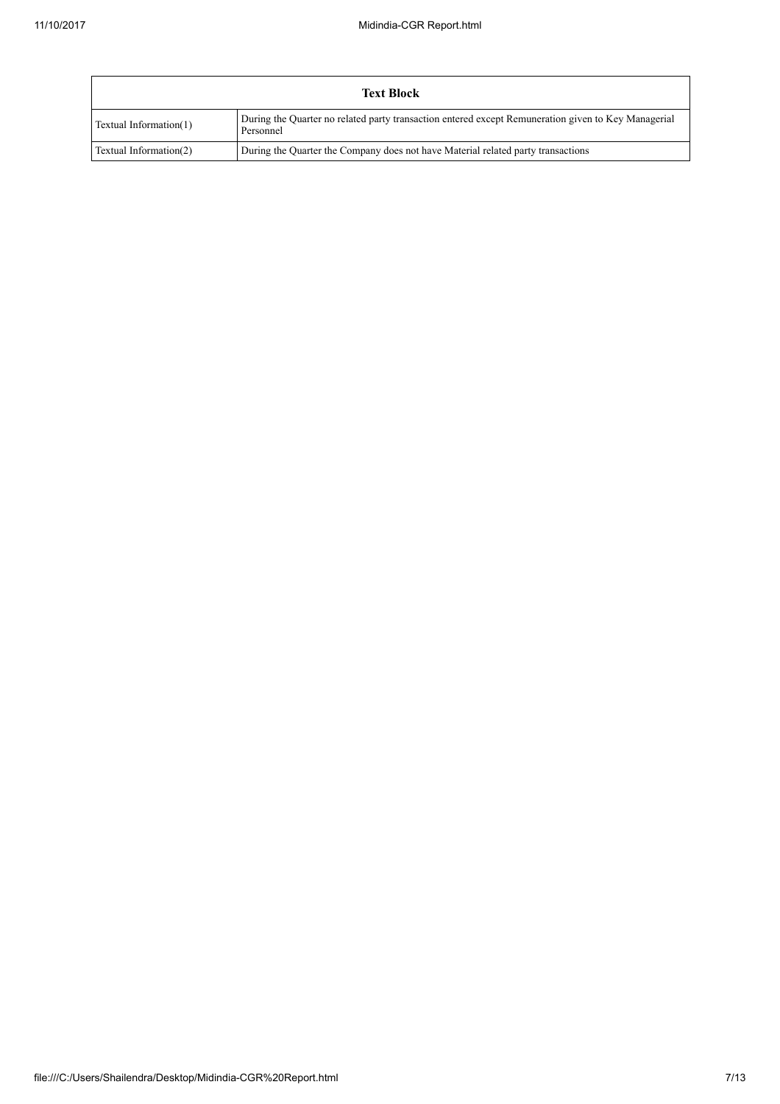|                        | <b>Text Block</b>                                                                                                |
|------------------------|------------------------------------------------------------------------------------------------------------------|
| Textual Information(1) | During the Quarter no related party transaction entered except Remuneration given to Key Managerial<br>Personnel |
| Textual Information(2) | During the Quarter the Company does not have Material related party transactions                                 |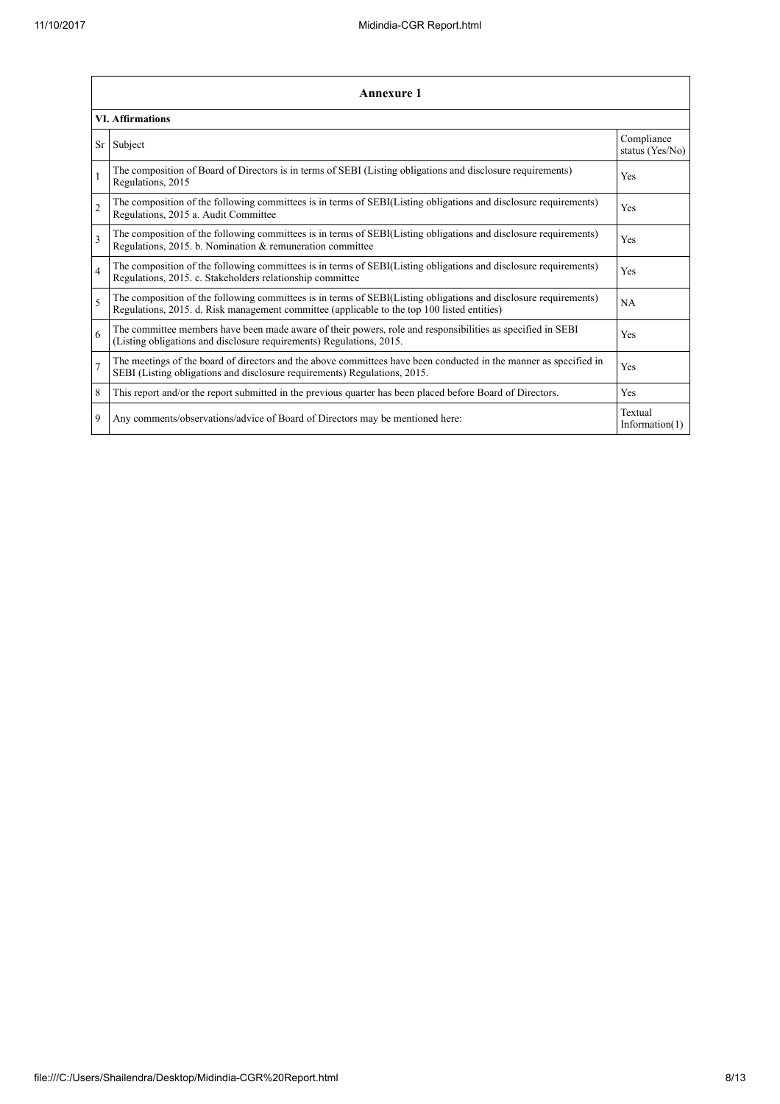|                | <b>Annexure 1</b>                                                                                                                                                                                               |                               |  |  |
|----------------|-----------------------------------------------------------------------------------------------------------------------------------------------------------------------------------------------------------------|-------------------------------|--|--|
|                | <b>VI. Affirmations</b>                                                                                                                                                                                         |                               |  |  |
| Sr             | Subject                                                                                                                                                                                                         | Compliance<br>status (Yes/No) |  |  |
| 1              | The composition of Board of Directors is in terms of SEBI (Listing obligations and disclosure requirements)<br>Regulations, 2015                                                                                | Yes                           |  |  |
| $\overline{2}$ | The composition of the following committees is in terms of SEBI(Listing obligations and disclosure requirements)<br>Regulations, 2015 a. Audit Committee                                                        | Yes                           |  |  |
| 3              | The composition of the following committees is in terms of SEBI(Listing obligations and disclosure requirements)<br>Regulations, 2015. b. Nomination & remuneration committee                                   | <b>Yes</b>                    |  |  |
| 4              | The composition of the following committees is in terms of SEBI(Listing obligations and disclosure requirements)<br>Regulations, 2015. c. Stakeholders relationship committee                                   | Yes                           |  |  |
| 5              | The composition of the following committees is in terms of SEBI(Listing obligations and disclosure requirements)<br>Regulations, 2015. d. Risk management committee (applicable to the top 100 listed entities) | <b>NA</b>                     |  |  |
| 6              | The committee members have been made aware of their powers, role and responsibilities as specified in SEBI<br>(Listing obligations and disclosure requirements) Regulations, 2015.                              | Yes                           |  |  |
| $\overline{7}$ | The meetings of the board of directors and the above committees have been conducted in the manner as specified in<br>SEBI (Listing obligations and disclosure requirements) Regulations, 2015.                  | Yes                           |  |  |
| 8              | This report and/or the report submitted in the previous quarter has been placed before Board of Directors.                                                                                                      | Yes                           |  |  |
| 9              | Any comments/observations/advice of Board of Directors may be mentioned here:                                                                                                                                   | Textual<br>Information $(1)$  |  |  |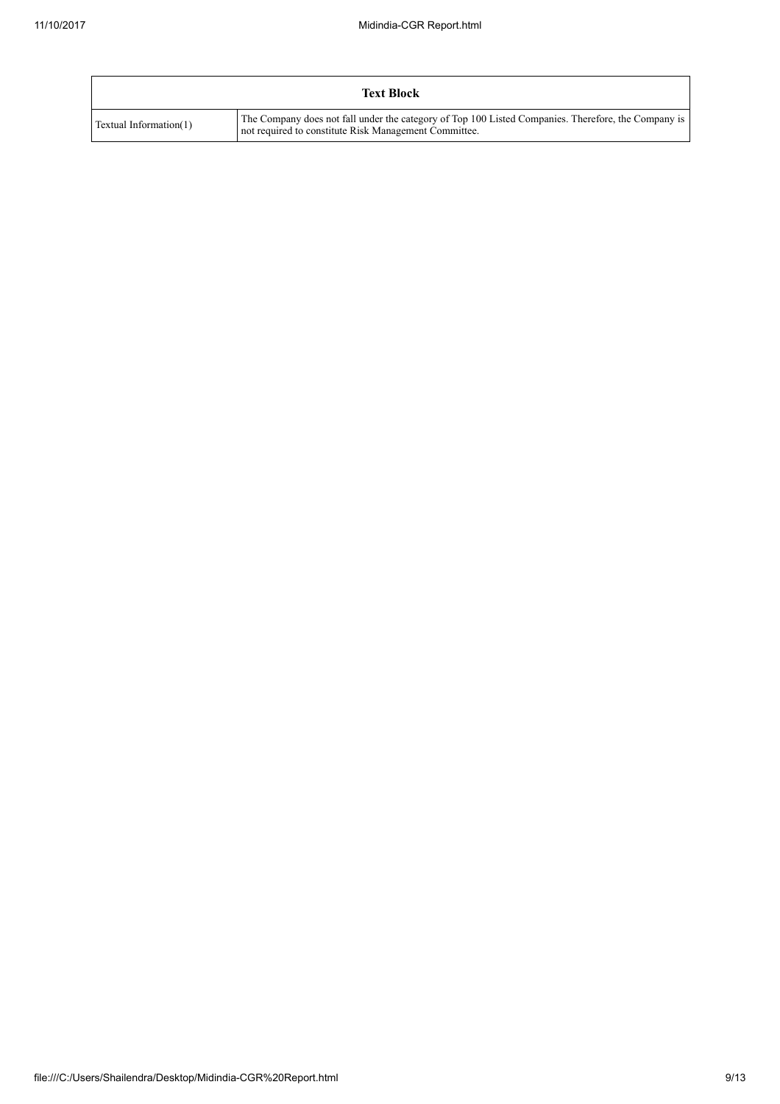|                        | <b>Text Block</b>                                                                                                                                            |
|------------------------|--------------------------------------------------------------------------------------------------------------------------------------------------------------|
| Textual Information(1) | The Company does not fall under the category of Top 100 Listed Companies. Therefore, the Company is<br>not required to constitute Risk Management Committee. |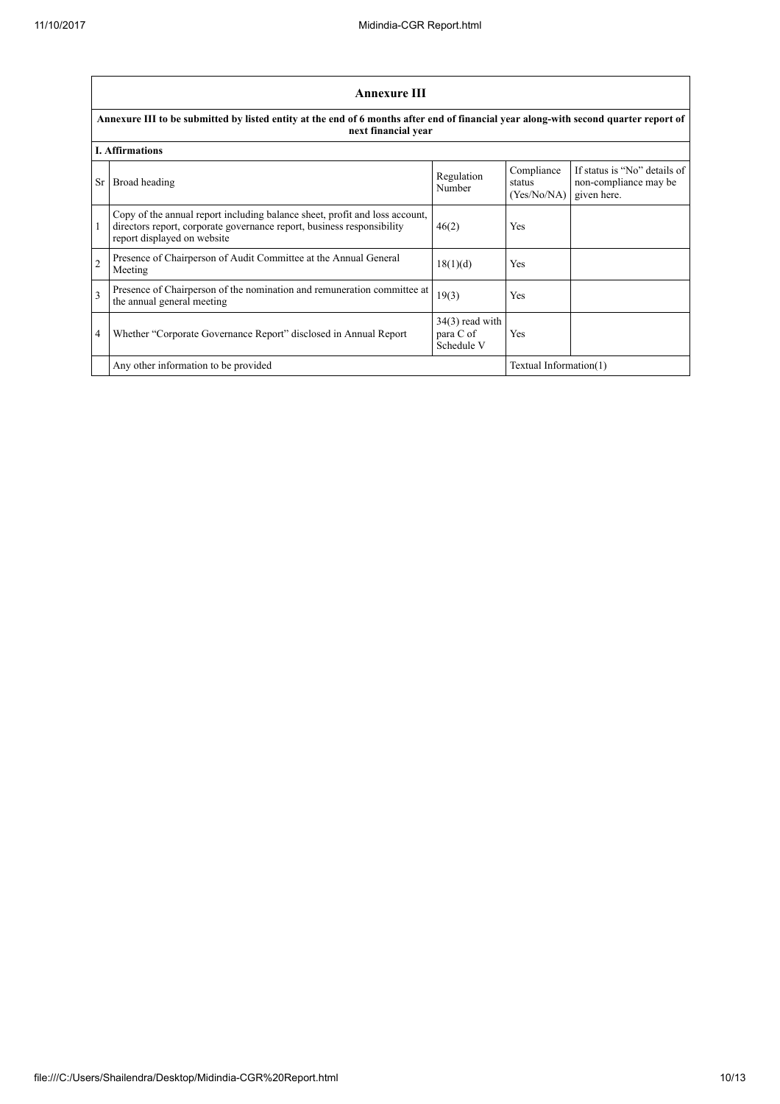|                         | Annexure III                                                                                                                                                                         |                                              |                                     |                                                                      |  |  |
|-------------------------|--------------------------------------------------------------------------------------------------------------------------------------------------------------------------------------|----------------------------------------------|-------------------------------------|----------------------------------------------------------------------|--|--|
|                         | Annexure III to be submitted by listed entity at the end of 6 months after end of financial year along-with second quarter report of<br>next financial year                          |                                              |                                     |                                                                      |  |  |
|                         | <b>I.</b> Affirmations                                                                                                                                                               |                                              |                                     |                                                                      |  |  |
| <b>Sr</b>               | Broad heading                                                                                                                                                                        | Regulation<br>Number                         | Compliance<br>status<br>(Yes/No/NA) | If status is "No" details of<br>non-compliance may be<br>given here. |  |  |
| 1                       | Copy of the annual report including balance sheet, profit and loss account,<br>directors report, corporate governance report, business responsibility<br>report displayed on website | 46(2)                                        | Yes                                 |                                                                      |  |  |
| $\overline{2}$          | Presence of Chairperson of Audit Committee at the Annual General<br>Meeting                                                                                                          | 18(1)(d)                                     | Yes                                 |                                                                      |  |  |
| $\overline{\mathbf{3}}$ | Presence of Chairperson of the nomination and remuneration committee at<br>the annual general meeting                                                                                | 19(3)                                        | Yes                                 |                                                                      |  |  |
| 4                       | Whether "Corporate Governance Report" disclosed in Annual Report                                                                                                                     | $34(3)$ read with<br>para C of<br>Schedule V | Yes                                 |                                                                      |  |  |
|                         | Any other information to be provided                                                                                                                                                 |                                              | Textual Information(1)              |                                                                      |  |  |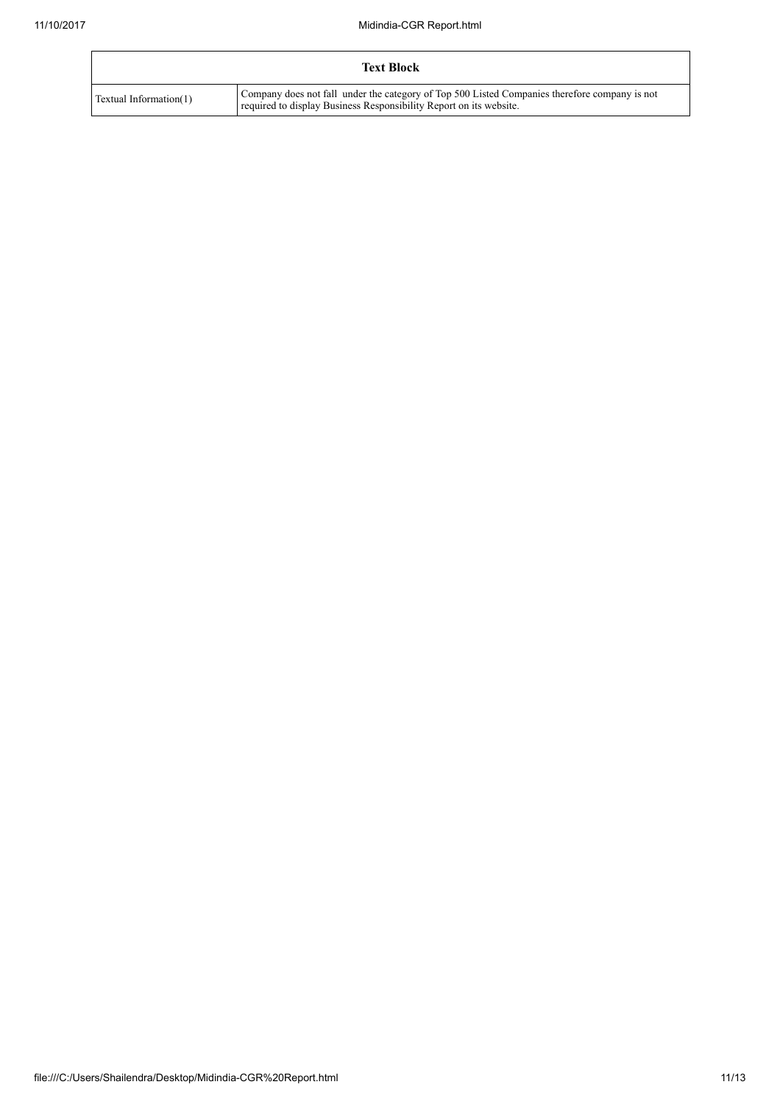|                        | <b>Text Block</b>                                                                                                                                                   |
|------------------------|---------------------------------------------------------------------------------------------------------------------------------------------------------------------|
| Textual Information(1) | Company does not fall under the category of Top 500 Listed Companies therefore company is not<br>required to display Business Responsibility Report on its website. |